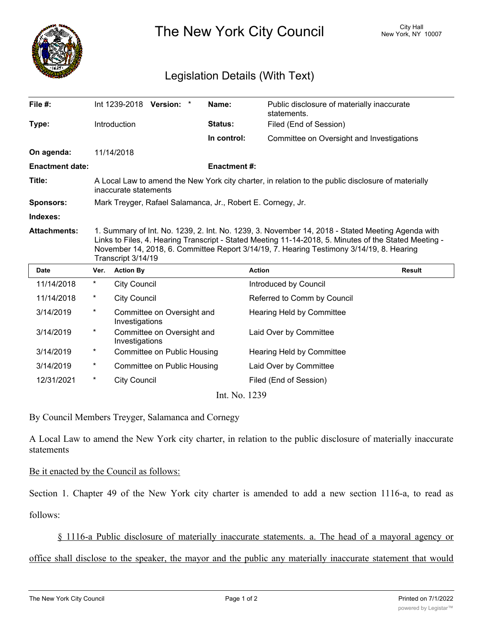

The New York City Council New York, NY 10007

## Legislation Details (With Text)

| File $#$ :             |                                                                                                                                                                                                                                                                                                                             |                     | Int 1239-2018 Version: *           |  | Name:              | Public disclosure of materially inaccurate<br>statements. |               |
|------------------------|-----------------------------------------------------------------------------------------------------------------------------------------------------------------------------------------------------------------------------------------------------------------------------------------------------------------------------|---------------------|------------------------------------|--|--------------------|-----------------------------------------------------------|---------------|
| Type:                  |                                                                                                                                                                                                                                                                                                                             | Introduction        |                                    |  | <b>Status:</b>     | Filed (End of Session)                                    |               |
|                        |                                                                                                                                                                                                                                                                                                                             |                     |                                    |  | In control:        | Committee on Oversight and Investigations                 |               |
| On agenda:             |                                                                                                                                                                                                                                                                                                                             | 11/14/2018          |                                    |  |                    |                                                           |               |
| <b>Enactment date:</b> |                                                                                                                                                                                                                                                                                                                             |                     |                                    |  | <b>Enactment#:</b> |                                                           |               |
| Title:                 | A Local Law to amend the New York city charter, in relation to the public disclosure of materially<br>inaccurate statements                                                                                                                                                                                                 |                     |                                    |  |                    |                                                           |               |
| <b>Sponsors:</b>       | Mark Treyger, Rafael Salamanca, Jr., Robert E. Cornegy, Jr.                                                                                                                                                                                                                                                                 |                     |                                    |  |                    |                                                           |               |
| Indexes:               |                                                                                                                                                                                                                                                                                                                             |                     |                                    |  |                    |                                                           |               |
| <b>Attachments:</b>    | 1. Summary of Int. No. 1239, 2. Int. No. 1239, 3. November 14, 2018 - Stated Meeting Agenda with<br>Links to Files, 4. Hearing Transcript - Stated Meeting 11-14-2018, 5. Minutes of the Stated Meeting -<br>November 14, 2018, 6. Committee Report 3/14/19, 7. Hearing Testimony 3/14/19, 8. Hearing<br>Transcript 3/14/19 |                     |                                    |  |                    |                                                           |               |
| <b>Date</b>            | Ver.                                                                                                                                                                                                                                                                                                                        | <b>Action By</b>    |                                    |  |                    | <b>Action</b>                                             | <b>Result</b> |
| 11/14/2018             | $^\star$                                                                                                                                                                                                                                                                                                                    | <b>City Council</b> |                                    |  |                    | Introduced by Council                                     |               |
| 11/14/2018             | *                                                                                                                                                                                                                                                                                                                           | <b>City Council</b> |                                    |  |                    | Referred to Comm by Council                               |               |
| 3/14/2019              | $\ast$                                                                                                                                                                                                                                                                                                                      | Investigations      | Committee on Oversight and         |  |                    | <b>Hearing Held by Committee</b>                          |               |
| 3/14/2019              | $^\ast$                                                                                                                                                                                                                                                                                                                     | Investigations      | Committee on Oversight and         |  |                    | Laid Over by Committee                                    |               |
| 3/14/2019              | $^\star$                                                                                                                                                                                                                                                                                                                    |                     | <b>Committee on Public Housing</b> |  |                    | <b>Hearing Held by Committee</b>                          |               |
| 3/14/2019              | $^\star$                                                                                                                                                                                                                                                                                                                    |                     | Committee on Public Housing        |  |                    | Laid Over by Committee                                    |               |
| 12/31/2021             | $^\star$                                                                                                                                                                                                                                                                                                                    | <b>City Council</b> |                                    |  |                    | Filed (End of Session)                                    |               |
|                        |                                                                                                                                                                                                                                                                                                                             |                     |                                    |  |                    |                                                           |               |

Int. No. 1239

By Council Members Treyger, Salamanca and Cornegy

A Local Law to amend the New York city charter, in relation to the public disclosure of materially inaccurate statements

## Be it enacted by the Council as follows:

Section 1. Chapter 49 of the New York city charter is amended to add a new section 1116-a, to read as

follows:

§ 1116-a Public disclosure of materially inaccurate statements. a. The head of a mayoral agency or

office shall disclose to the speaker, the mayor and the public any materially inaccurate statement that would